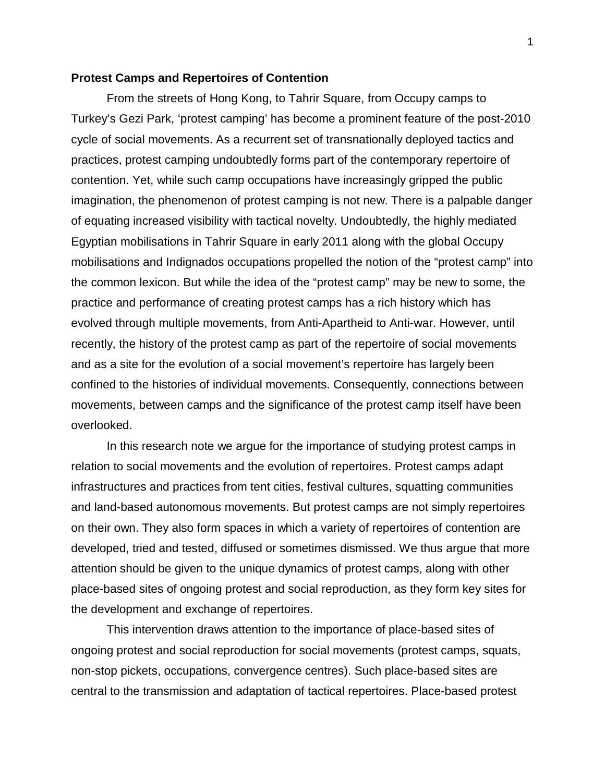### **Protest Camps and Repertoires of Contention**

From the streets of Hong Kong, to Tahrir Square, from Occupy camps to Turkey's Gezi Park, 'protest camping' has become a prominent feature of the post-2010 cycle of social movements. As a recurrent set of transnationally deployed tactics and practices, protest camping undoubtedly forms part of the contemporary repertoire of contention. Yet, while such camp occupations have increasingly gripped the public imagination, the phenomenon of protest camping is not new. There is a palpable danger of equating increased visibility with tactical novelty. Undoubtedly, the highly mediated Egyptian mobilisations in Tahrir Square in early 2011 along with the global Occupy mobilisations and Indignados occupations propelled the notion of the "protest camp" into the common lexicon. But while the idea of the "protest camp" may be new to some, the practice and performance of creating protest camps has a rich history which has evolved through multiple movements, from Anti-Apartheid to Anti-war. However, until recently, the history of the protest camp as part of the repertoire of social movements and as a site for the evolution of a social movement's repertoire has largely been confined to the histories of individual movements. Consequently, connections between movements, between camps and the significance of the protest camp itself have been overlooked.

In this research note we argue for the importance of studying protest camps in relation to social movements and the evolution of repertoires. Protest camps adapt infrastructures and practices from tent cities, festival cultures, squatting communities and land-based autonomous movements. But protest camps are not simply repertoires on their own. They also form spaces in which a variety of repertoires of contention are developed, tried and tested, diffused or sometimes dismissed. We thus argue that more attention should be given to the unique dynamics of protest camps, along with other place-based sites of ongoing protest and social reproduction, as they form key sites for the development and exchange of repertoires.

This intervention draws attention to the importance of place-based sites of ongoing protest and social reproduction for social movements (protest camps, squats, non-stop pickets, occupations, convergence centres). Such place-based sites are central to the transmission and adaptation of tactical repertoires. Place-based protest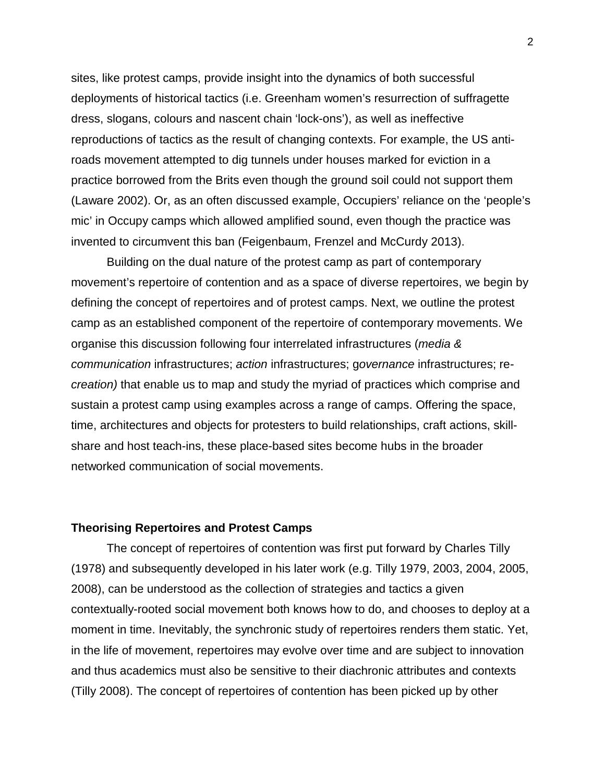sites, like protest camps, provide insight into the dynamics of both successful deployments of historical tactics (i.e. Greenham women's resurrection of suffragette dress, slogans, colours and nascent chain 'lock-ons'), as well as ineffective reproductions of tactics as the result of changing contexts. For example, the US antiroads movement attempted to dig tunnels under houses marked for eviction in a practice borrowed from the Brits even though the ground soil could not support them (Laware 2002). Or, as an often discussed example, Occupiers' reliance on the 'people's mic' in Occupy camps which allowed amplified sound, even though the practice was invented to circumvent this ban (Feigenbaum, Frenzel and McCurdy 2013).

Building on the dual nature of the protest camp as part of contemporary movement's repertoire of contention and as a space of diverse repertoires, we begin by defining the concept of repertoires and of protest camps. Next, we outline the protest camp as an established component of the repertoire of contemporary movements. We organise this discussion following four interrelated infrastructures (*media & communication* infrastructures; *action* infrastructures; g*overnance* infrastructures; re*creation)* that enable us to map and study the myriad of practices which comprise and sustain a protest camp using examples across a range of camps. Offering the space, time, architectures and objects for protesters to build relationships, craft actions, skillshare and host teach-ins, these place-based sites become hubs in the broader networked communication of social movements.

#### **Theorising Repertoires and Protest Camps**

The concept of repertoires of contention was first put forward by Charles Tilly (1978) and subsequently developed in his later work (e.g. Tilly 1979, 2003, 2004, 2005, 2008), can be understood as the collection of strategies and tactics a given contextually-rooted social movement both knows how to do, and chooses to deploy at a moment in time. Inevitably, the synchronic study of repertoires renders them static. Yet, in the life of movement, repertoires may evolve over time and are subject to innovation and thus academics must also be sensitive to their diachronic attributes and contexts (Tilly 2008). The concept of repertoires of contention has been picked up by other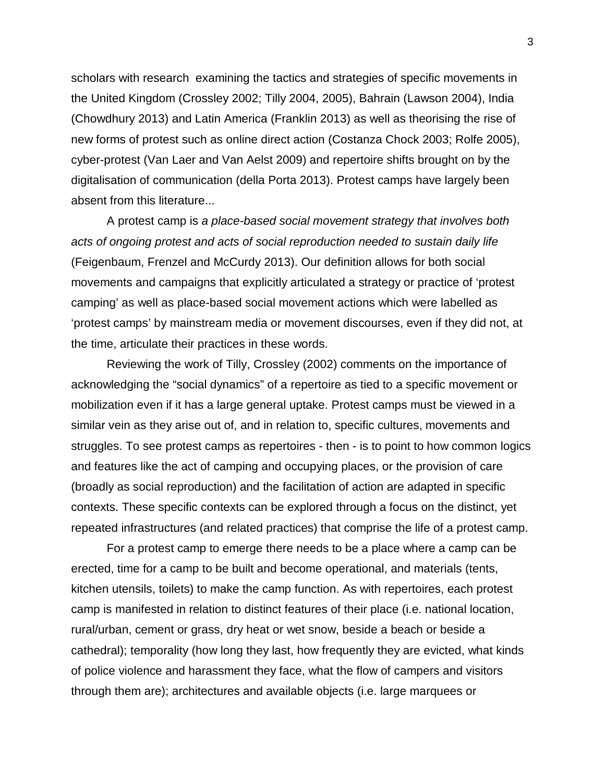scholars with research examining the tactics and strategies of specific movements in the United Kingdom (Crossley 2002; Tilly 2004, 2005), Bahrain (Lawson 2004), India (Chowdhury 2013) and Latin America (Franklin 2013) as well as theorising the rise of new forms of protest such as online direct action (Costanza Chock 2003; Rolfe 2005), cyber-protest (Van Laer and Van Aelst 2009) and repertoire shifts brought on by the digitalisation of communication (della Porta 2013). Protest camps have largely been absent from this literature...

A protest camp is *a place-based social movement strategy that involves both acts of ongoing protest and acts of social reproduction needed to sustain daily life* (Feigenbaum, Frenzel and McCurdy 2013). Our definition allows for both social movements and campaigns that explicitly articulated a strategy or practice of 'protest camping' as well as place-based social movement actions which were labelled as 'protest camps' by mainstream media or movement discourses, even if they did not, at the time, articulate their practices in these words.

Reviewing the work of Tilly, Crossley (2002) comments on the importance of acknowledging the "social dynamics" of a repertoire as tied to a specific movement or mobilization even if it has a large general uptake. Protest camps must be viewed in a similar vein as they arise out of, and in relation to, specific cultures, movements and struggles. To see protest camps as repertoires - then - is to point to how common logics and features like the act of camping and occupying places, or the provision of care (broadly as social reproduction) and the facilitation of action are adapted in specific contexts. These specific contexts can be explored through a focus on the distinct, yet repeated infrastructures (and related practices) that comprise the life of a protest camp.

For a protest camp to emerge there needs to be a place where a camp can be erected, time for a camp to be built and become operational, and materials (tents, kitchen utensils, toilets) to make the camp function. As with repertoires, each protest camp is manifested in relation to distinct features of their place (i.e. national location, rural/urban, cement or grass, dry heat or wet snow, beside a beach or beside a cathedral); temporality (how long they last, how frequently they are evicted, what kinds of police violence and harassment they face, what the flow of campers and visitors through them are); architectures and available objects (i.e. large marquees or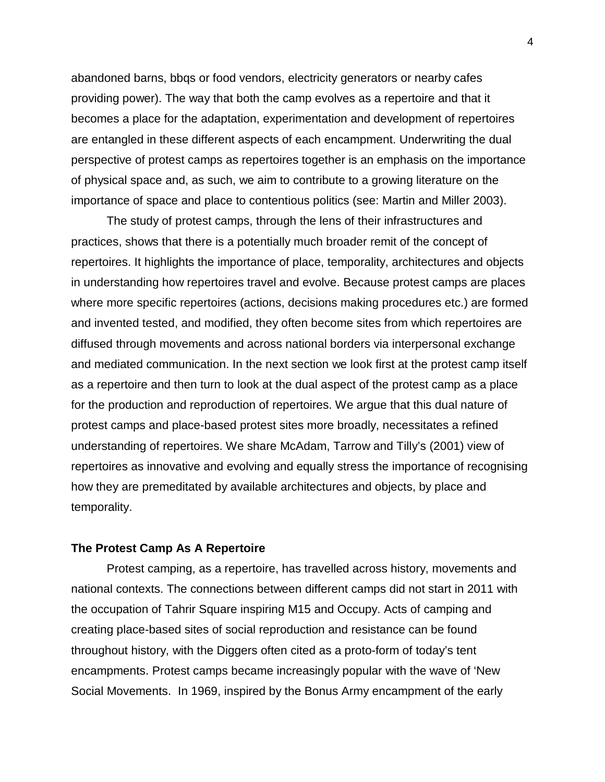abandoned barns, bbqs or food vendors, electricity generators or nearby cafes providing power). The way that both the camp evolves as a repertoire and that it becomes a place for the adaptation, experimentation and development of repertoires are entangled in these different aspects of each encampment. Underwriting the dual perspective of protest camps as repertoires together is an emphasis on the importance of physical space and, as such, we aim to contribute to a growing literature on the importance of space and place to contentious politics (see: Martin and Miller 2003).

The study of protest camps, through the lens of their infrastructures and practices, shows that there is a potentially much broader remit of the concept of repertoires. It highlights the importance of place, temporality, architectures and objects in understanding how repertoires travel and evolve. Because protest camps are places where more specific repertoires (actions, decisions making procedures etc.) are formed and invented tested, and modified, they often become sites from which repertoires are diffused through movements and across national borders via interpersonal exchange and mediated communication. In the next section we look first at the protest camp itself as a repertoire and then turn to look at the dual aspect of the protest camp as a place for the production and reproduction of repertoires. We argue that this dual nature of protest camps and place-based protest sites more broadly, necessitates a refined understanding of repertoires. We share McAdam, Tarrow and Tilly's (2001) view of repertoires as innovative and evolving and equally stress the importance of recognising how they are premeditated by available architectures and objects, by place and temporality.

## **The Protest Camp As A Repertoire**

Protest camping, as a repertoire, has travelled across history, movements and national contexts. The connections between different camps did not start in 2011 with the occupation of Tahrir Square inspiring M15 and Occupy. Acts of camping and creating place-based sites of social reproduction and resistance can be found throughout history, with the Diggers often cited as a proto-form of today's tent encampments. Protest camps became increasingly popular with the wave of 'New Social Movements. In 1969, inspired by the Bonus Army encampment of the early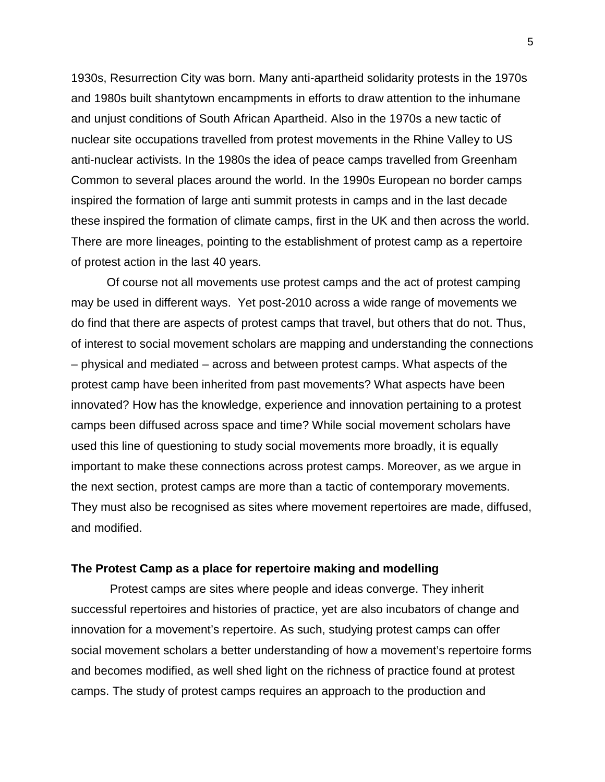1930s, Resurrection City was born. Many anti-apartheid solidarity protests in the 1970s and 1980s built shantytown encampments in efforts to draw attention to the inhumane and unjust conditions of South African Apartheid. Also in the 1970s a new tactic of nuclear site occupations travelled from protest movements in the Rhine Valley to US anti-nuclear activists. In the 1980s the idea of peace camps travelled from Greenham Common to several places around the world. In the 1990s European no border camps inspired the formation of large anti summit protests in camps and in the last decade these inspired the formation of climate camps, first in the UK and then across the world. There are more lineages, pointing to the establishment of protest camp as a repertoire of protest action in the last 40 years.

Of course not all movements use protest camps and the act of protest camping may be used in different ways. Yet post-2010 across a wide range of movements we do find that there are aspects of protest camps that travel, but others that do not. Thus, of interest to social movement scholars are mapping and understanding the connections – physical and mediated – across and between protest camps. What aspects of the protest camp have been inherited from past movements? What aspects have been innovated? How has the knowledge, experience and innovation pertaining to a protest camps been diffused across space and time? While social movement scholars have used this line of questioning to study social movements more broadly, it is equally important to make these connections across protest camps. Moreover, as we argue in the next section, protest camps are more than a tactic of contemporary movements. They must also be recognised as sites where movement repertoires are made, diffused, and modified.

### **The Protest Camp as a place for repertoire making and modelling**

Protest camps are sites where people and ideas converge. They inherit successful repertoires and histories of practice, yet are also incubators of change and innovation for a movement's repertoire. As such, studying protest camps can offer social movement scholars a better understanding of how a movement's repertoire forms and becomes modified, as well shed light on the richness of practice found at protest camps. The study of protest camps requires an approach to the production and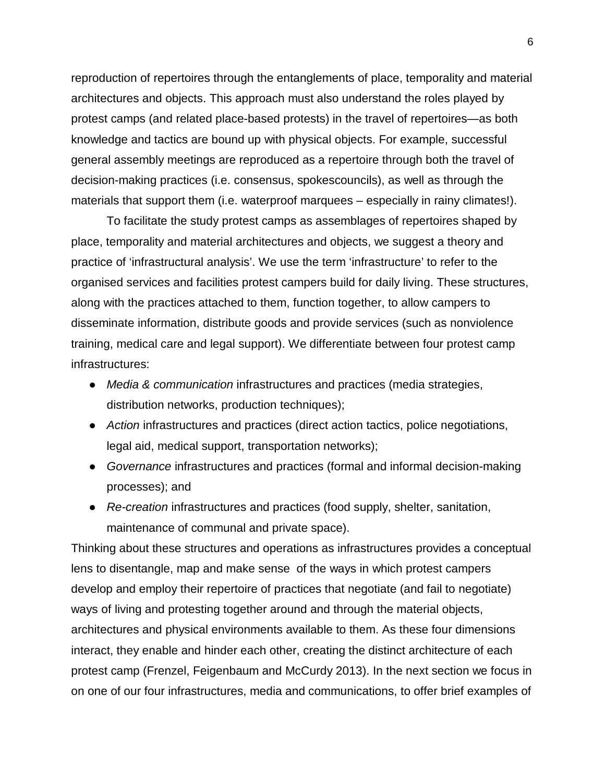reproduction of repertoires through the entanglements of place, temporality and material architectures and objects. This approach must also understand the roles played by protest camps (and related place-based protests) in the travel of repertoires—as both knowledge and tactics are bound up with physical objects. For example, successful general assembly meetings are reproduced as a repertoire through both the travel of decision-making practices (i.e. consensus, spokescouncils), as well as through the materials that support them (i.e. waterproof marquees – especially in rainy climates!).

To facilitate the study protest camps as assemblages of repertoires shaped by place, temporality and material architectures and objects, we suggest a theory and practice of 'infrastructural analysis'. We use the term 'infrastructure' to refer to the organised services and facilities protest campers build for daily living. These structures, along with the practices attached to them, function together, to allow campers to disseminate information, distribute goods and provide services (such as nonviolence training, medical care and legal support). We differentiate between four protest camp infrastructures:

- *Media & communication* infrastructures and practices (media strategies, distribution networks, production techniques);
- *Action* infrastructures and practices (direct action tactics, police negotiations, legal aid, medical support, transportation networks);
- *Governance* infrastructures and practices (formal and informal decision-making processes); and
- *Re-creation* infrastructures and practices (food supply, shelter, sanitation, maintenance of communal and private space).

Thinking about these structures and operations as infrastructures provides a conceptual lens to disentangle, map and make sense of the ways in which protest campers develop and employ their repertoire of practices that negotiate (and fail to negotiate) ways of living and protesting together around and through the material objects, architectures and physical environments available to them. As these four dimensions interact, they enable and hinder each other, creating the distinct architecture of each protest camp (Frenzel, Feigenbaum and McCurdy 2013). In the next section we focus in on one of our four infrastructures, media and communications, to offer brief examples of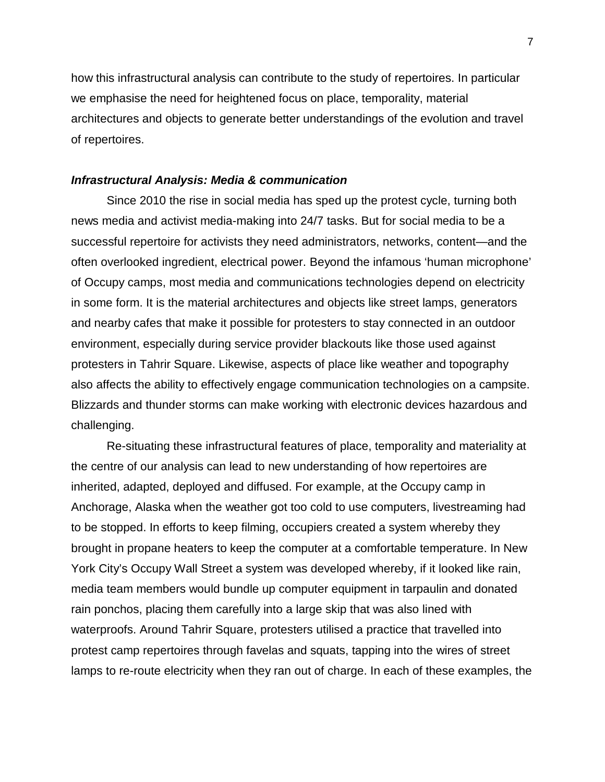how this infrastructural analysis can contribute to the study of repertoires. In particular we emphasise the need for heightened focus on place, temporality, material architectures and objects to generate better understandings of the evolution and travel of repertoires.

### *Infrastructural Analysis: Media & communication*

Since 2010 the rise in social media has sped up the protest cycle, turning both news media and activist media-making into 24/7 tasks. But for social media to be a successful repertoire for activists they need administrators, networks, content—and the often overlooked ingredient, electrical power. Beyond the infamous 'human microphone' of Occupy camps, most media and communications technologies depend on electricity in some form. It is the material architectures and objects like street lamps, generators and nearby cafes that make it possible for protesters to stay connected in an outdoor environment, especially during service provider blackouts like those used against protesters in Tahrir Square. Likewise, aspects of place like weather and topography also affects the ability to effectively engage communication technologies on a campsite. Blizzards and thunder storms can make working with electronic devices hazardous and challenging.

Re-situating these infrastructural features of place, temporality and materiality at the centre of our analysis can lead to new understanding of how repertoires are inherited, adapted, deployed and diffused. For example, at the Occupy camp in Anchorage, Alaska when the weather got too cold to use computers, livestreaming had to be stopped. In efforts to keep filming, occupiers created a system whereby they brought in propane heaters to keep the computer at a comfortable temperature. In New York City's Occupy Wall Street a system was developed whereby, if it looked like rain, media team members would bundle up computer equipment in tarpaulin and donated rain ponchos, placing them carefully into a large skip that was also lined with waterproofs. Around Tahrir Square, protesters utilised a practice that travelled into protest camp repertoires through favelas and squats, tapping into the wires of street lamps to re-route electricity when they ran out of charge. In each of these examples, the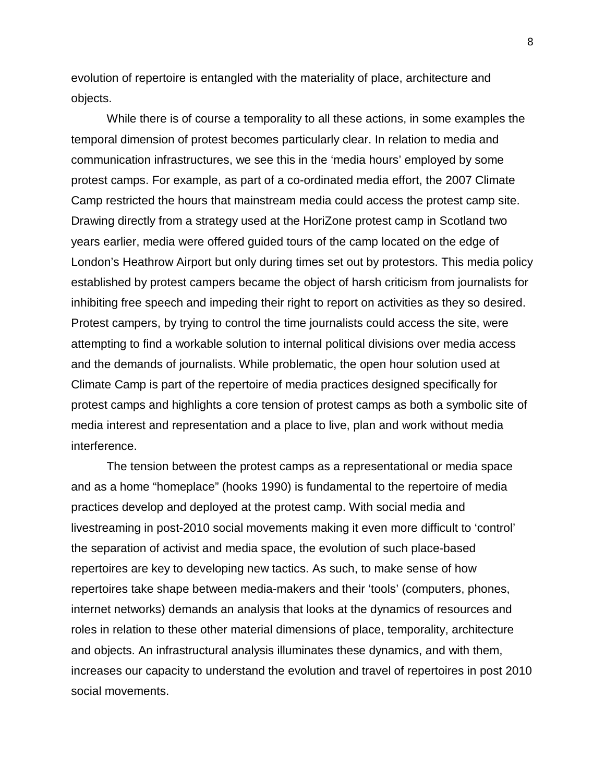evolution of repertoire is entangled with the materiality of place, architecture and objects.

While there is of course a temporality to all these actions, in some examples the temporal dimension of protest becomes particularly clear. In relation to media and communication infrastructures, we see this in the 'media hours' employed by some protest camps. For example, as part of a co-ordinated media effort, the 2007 Climate Camp restricted the hours that mainstream media could access the protest camp site. Drawing directly from a strategy used at the HoriZone protest camp in Scotland two years earlier, media were offered guided tours of the camp located on the edge of London's Heathrow Airport but only during times set out by protestors. This media policy established by protest campers became the object of harsh criticism from journalists for inhibiting free speech and impeding their right to report on activities as they so desired. Protest campers, by trying to control the time journalists could access the site, were attempting to find a workable solution to internal political divisions over media access and the demands of journalists. While problematic, the open hour solution used at Climate Camp is part of the repertoire of media practices designed specifically for protest camps and highlights a core tension of protest camps as both a symbolic site of media interest and representation and a place to live, plan and work without media interference.

The tension between the protest camps as a representational or media space and as a home "homeplace" (hooks 1990) is fundamental to the repertoire of media practices develop and deployed at the protest camp. With social media and livestreaming in post-2010 social movements making it even more difficult to 'control' the separation of activist and media space, the evolution of such place-based repertoires are key to developing new tactics. As such, to make sense of how repertoires take shape between media-makers and their 'tools' (computers, phones, internet networks) demands an analysis that looks at the dynamics of resources and roles in relation to these other material dimensions of place, temporality, architecture and objects. An infrastructural analysis illuminates these dynamics, and with them, increases our capacity to understand the evolution and travel of repertoires in post 2010 social movements.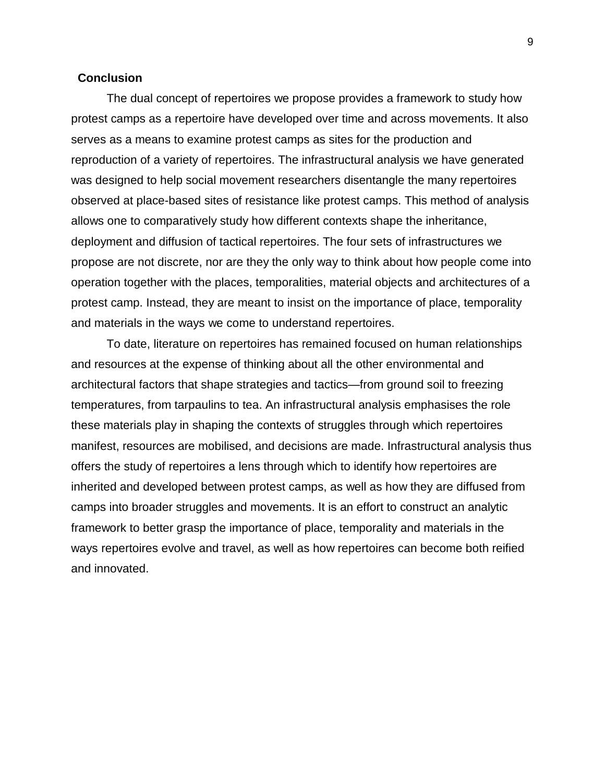### **Conclusion**

The dual concept of repertoires we propose provides a framework to study how protest camps as a repertoire have developed over time and across movements. It also serves as a means to examine protest camps as sites for the production and reproduction of a variety of repertoires. The infrastructural analysis we have generated was designed to help social movement researchers disentangle the many repertoires observed at place-based sites of resistance like protest camps. This method of analysis allows one to comparatively study how different contexts shape the inheritance, deployment and diffusion of tactical repertoires. The four sets of infrastructures we propose are not discrete, nor are they the only way to think about how people come into operation together with the places, temporalities, material objects and architectures of a protest camp. Instead, they are meant to insist on the importance of place, temporality and materials in the ways we come to understand repertoires.

To date, literature on repertoires has remained focused on human relationships and resources at the expense of thinking about all the other environmental and architectural factors that shape strategies and tactics—from ground soil to freezing temperatures, from tarpaulins to tea. An infrastructural analysis emphasises the role these materials play in shaping the contexts of struggles through which repertoires manifest, resources are mobilised, and decisions are made. Infrastructural analysis thus offers the study of repertoires a lens through which to identify how repertoires are inherited and developed between protest camps, as well as how they are diffused from camps into broader struggles and movements. It is an effort to construct an analytic framework to better grasp the importance of place, temporality and materials in the ways repertoires evolve and travel, as well as how repertoires can become both reified and innovated.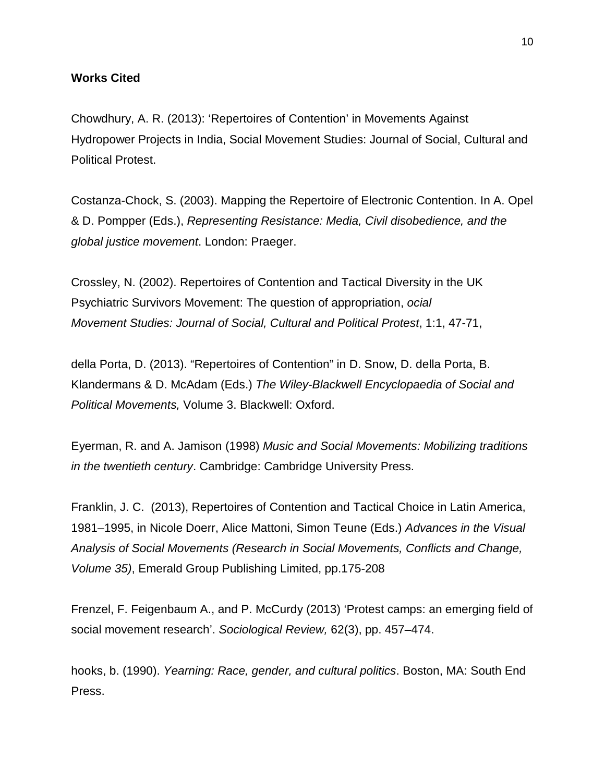# **Works Cited**

Chowdhury, A. R. (2013): 'Repertoires of Contention' in Movements Against Hydropower Projects in India, Social Movement Studies: Journal of Social, Cultural and Political Protest.

Costanza-Chock, S. (2003). Mapping the Repertoire of Electronic Contention. In A. Opel & D. Pompper (Eds.), *Representing Resistance: Media, Civil disobedience, and the global justice movement*. London: Praeger.

Crossley, N. (2002). Repertoires of Contention and Tactical Diversity in the UK Psychiatric Survivors Movement: The question of appropriation, *ocial Movement Studies: Journal of Social, Cultural and Political Protest*, 1:1, 47-71,

della Porta, D. (2013). "Repertoires of Contention" in D. Snow, D. della Porta, B. Klandermans & D. McAdam (Eds.) *The Wiley-Blackwell Encyclopaedia of Social and Political Movements,* Volume 3. Blackwell: Oxford.

Eyerman, R. and A. Jamison (1998) *Music and Social Movements: Mobilizing traditions in the twentieth century*. Cambridge: Cambridge University Press.

Franklin, J. C. (2013), Repertoires of Contention and Tactical Choice in Latin America, 1981–1995, in Nicole Doerr, Alice Mattoni, Simon Teune (Eds.) *Advances in the Visual Analysis of Social Movements (Research in Social Movements, Conflicts and Change, Volume 35)*, Emerald Group Publishing Limited, pp.175-208

Frenzel, F. Feigenbaum A., and P. McCurdy (2013) 'Protest camps: an emerging field of social movement research'. *Sociological Review,* 62(3), pp. 457–474.

hooks, b. (1990). *Yearning: Race, gender, and cultural politics*. Boston, MA: South End Press.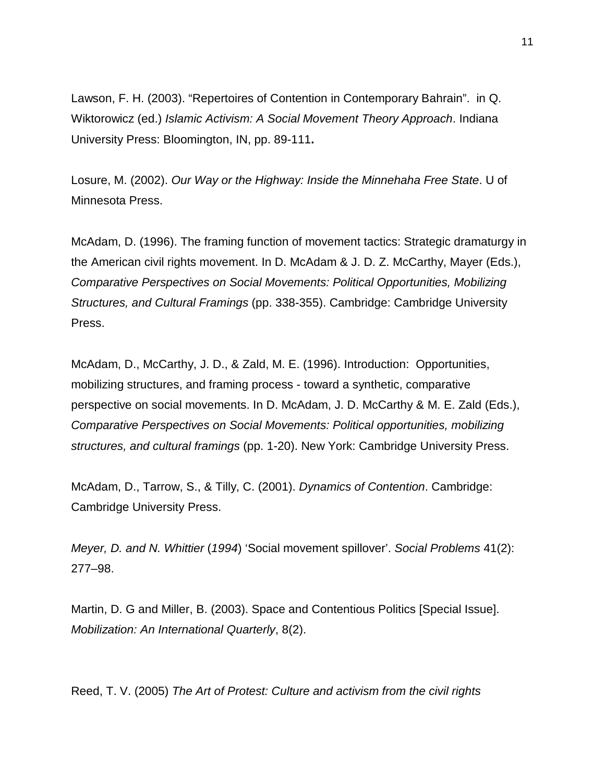Lawson, F. H. (2003). "Repertoires of Contention in Contemporary Bahrain". in Q. Wiktorowicz (ed.) *Islamic Activism: A Social Movement Theory Approach*. Indiana University Press: Bloomington, IN, pp. 89-111**.**

Losure, M. (2002). *Our Way or the Highway: Inside the Minnehaha Free State*. U of Minnesota Press.

McAdam, D. (1996). The framing function of movement tactics: Strategic dramaturgy in the American civil rights movement. In D. McAdam & J. D. Z. McCarthy, Mayer (Eds.), *Comparative Perspectives on Social Movements: Political Opportunities, Mobilizing Structures, and Cultural Framings* (pp. 338-355). Cambridge: Cambridge University Press.

McAdam, D., McCarthy, J. D., & Zald, M. E. (1996). Introduction: Opportunities, mobilizing structures, and framing process - toward a synthetic, comparative perspective on social movements. In D. McAdam, J. D. McCarthy & M. E. Zald (Eds.), *Comparative Perspectives on Social Movements: Political opportunities, mobilizing structures, and cultural framings* (pp. 1-20). New York: Cambridge University Press.

McAdam, D., Tarrow, S., & Tilly, C. (2001). *Dynamics of Contention*. Cambridge: Cambridge University Press.

*Meyer, D. and N. Whittier* (*1994*) 'Social movement spillover'. *Social Problems* 41(2): 277–98.

Martin, D. G and Miller, B. (2003). Space and Contentious Politics [Special Issue]. *Mobilization: An International Quarterly*, 8(2).

Reed, T. V. (2005) *The Art of Protest: Culture and activism from the civil rights*